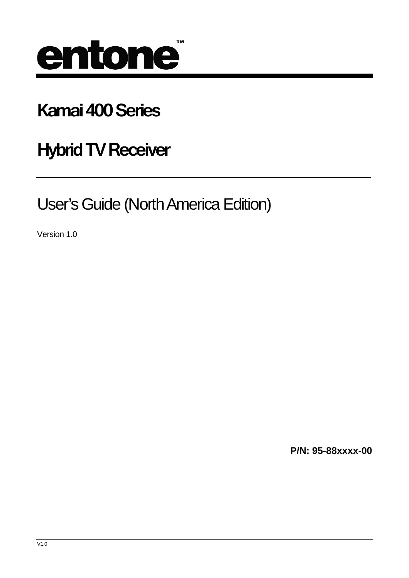

# **Kamai 400 Series**

**Hybrid TV Receiver** 

User's Guide (North America Edition)

Version 1.0

**P/N: 95-88xxxx-00**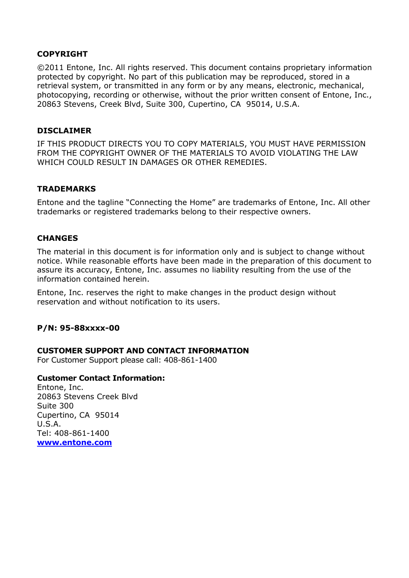#### **COPYRIGHT**

©2011 Entone, Inc. All rights reserved. This document contains proprietary information protected by copyright. No part of this publication may be reproduced, stored in a retrieval system, or transmitted in any form or by any means, electronic, mechanical, photocopying, recording or otherwise, without the prior written consent of Entone, Inc., 20863 Stevens, Creek Blvd, Suite 300, Cupertino, CA 95014, U.S.A.

#### **DISCLAIMER**

IF THIS PRODUCT DIRECTS YOU TO COPY MATERIALS, YOU MUST HAVE PERMISSION FROM THE COPYRIGHT OWNER OF THE MATERIALS TO AVOID VIOLATING THE LAW WHICH COULD RESULT IN DAMAGES OR OTHER REMEDIES.

#### **TRADEMARKS**

Entone and the tagline "Connecting the Home" are trademarks of Entone, Inc. All other trademarks or registered trademarks belong to their respective owners.

#### **CHANGES**

The material in this document is for information only and is subject to change without notice. While reasonable efforts have been made in the preparation of this document to assure its accuracy, Entone, Inc. assumes no liability resulting from the use of the information contained herein.

Entone, Inc. reserves the right to make changes in the product design without reservation and without notification to its users.

#### **P/N: 95-88xxxx-00**

#### **CUSTOMER SUPPORT AND CONTACT INFORMATION**

For Customer Support please call: 408-861-1400

#### **Customer Contact Information:**

Entone, Inc. 20863 Stevens Creek Blvd Suite 300 Cupertino, CA 95014 U.S.A. Tel: 408-861-1400 **www.entone.com**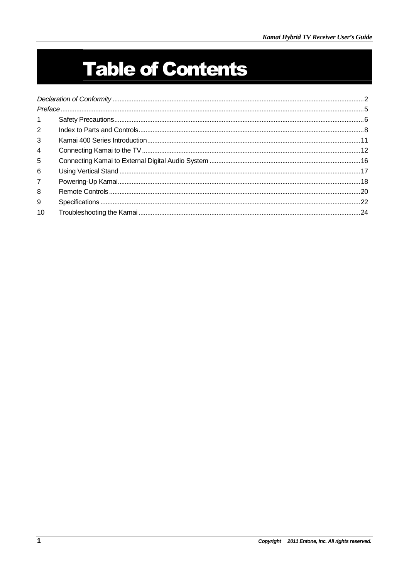# **Table of Contents**

| $\mathbf{1}$   |  |  |
|----------------|--|--|
| $2^{\circ}$    |  |  |
| 3              |  |  |
| $\overline{4}$ |  |  |
| 5              |  |  |
| 6              |  |  |
| $\overline{7}$ |  |  |
| 8              |  |  |
| 9              |  |  |
| 10             |  |  |
|                |  |  |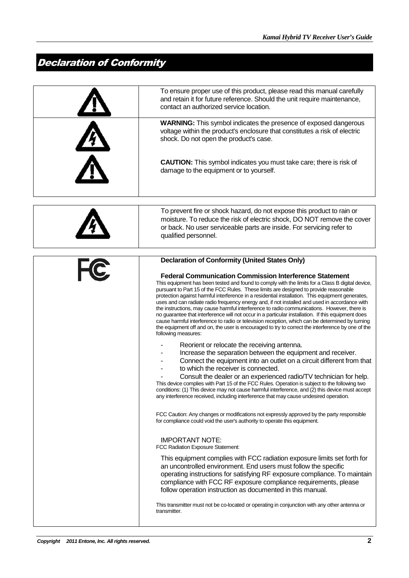## Declaration of Conformity

| To ensure proper use of this product, please read this manual carefully<br>and retain it for future reference. Should the unit require maintenance,<br>contact an authorized service location.                                                                                                                                                                                                                                                                                                                                                                                                                                                                                                                                                                                                                                     |
|------------------------------------------------------------------------------------------------------------------------------------------------------------------------------------------------------------------------------------------------------------------------------------------------------------------------------------------------------------------------------------------------------------------------------------------------------------------------------------------------------------------------------------------------------------------------------------------------------------------------------------------------------------------------------------------------------------------------------------------------------------------------------------------------------------------------------------|
| <b>WARNING:</b> This symbol indicates the presence of exposed dangerous<br>voltage within the product's enclosure that constitutes a risk of electric<br>shock. Do not open the product's case.                                                                                                                                                                                                                                                                                                                                                                                                                                                                                                                                                                                                                                    |
| <b>CAUTION:</b> This symbol indicates you must take care; there is risk of<br>damage to the equipment or to yourself.                                                                                                                                                                                                                                                                                                                                                                                                                                                                                                                                                                                                                                                                                                              |
|                                                                                                                                                                                                                                                                                                                                                                                                                                                                                                                                                                                                                                                                                                                                                                                                                                    |
| To prevent fire or shock hazard, do not expose this product to rain or<br>moisture. To reduce the risk of electric shock, DO NOT remove the cover<br>or back. No user serviceable parts are inside. For servicing refer to<br>qualified personnel.                                                                                                                                                                                                                                                                                                                                                                                                                                                                                                                                                                                 |
| <b>Declaration of Conformity (United States Only)</b>                                                                                                                                                                                                                                                                                                                                                                                                                                                                                                                                                                                                                                                                                                                                                                              |
| <b>Federal Communication Commission Interference Statement</b>                                                                                                                                                                                                                                                                                                                                                                                                                                                                                                                                                                                                                                                                                                                                                                     |
| This equipment has been tested and found to comply with the limits for a Class B digital device,<br>pursuant to Part 15 of the FCC Rules. These limits are designed to provide reasonable<br>protection against harmful interference in a residential installation. This equipment generates,<br>uses and can radiate radio frequency energy and, if not installed and used in accordance with<br>the instructions, may cause harmful interference to radio communications. However, there is<br>no guarantee that interference will not occur in a particular installation. If this equipment does<br>cause harmful interference to radio or television reception, which can be determined by turning<br>the equipment off and on, the user is encouraged to try to correct the interference by one of the<br>following measures: |
| Reorient or relocate the receiving antenna.                                                                                                                                                                                                                                                                                                                                                                                                                                                                                                                                                                                                                                                                                                                                                                                        |
| Increase the separation between the equipment and receiver.<br>Connect the equipment into an outlet on a circuit different from that<br>to which the receiver is connected.                                                                                                                                                                                                                                                                                                                                                                                                                                                                                                                                                                                                                                                        |
| Consult the dealer or an experienced radio/TV technician for help.<br>This device complies with Part 15 of the FCC Rules. Operation is subject to the following two<br>conditions: (1) This device may not cause harmful interference, and (2) this device must accept<br>any interference received, including interference that may cause undesired operation.                                                                                                                                                                                                                                                                                                                                                                                                                                                                    |
| FCC Caution: Any changes or modifications not expressly approved by the party responsible<br>for compliance could void the user's authority to operate this equipment.                                                                                                                                                                                                                                                                                                                                                                                                                                                                                                                                                                                                                                                             |
| <b>IMPORTANT NOTE:</b><br>FCC Radiation Exposure Statement:                                                                                                                                                                                                                                                                                                                                                                                                                                                                                                                                                                                                                                                                                                                                                                        |
| This equipment complies with FCC radiation exposure limits set forth for<br>an uncontrolled environment. End users must follow the specific<br>operating instructions for satisfying RF exposure compliance. To maintain                                                                                                                                                                                                                                                                                                                                                                                                                                                                                                                                                                                                           |
| compliance with FCC RF exposure compliance requirements, please<br>follow operation instruction as documented in this manual.                                                                                                                                                                                                                                                                                                                                                                                                                                                                                                                                                                                                                                                                                                      |
|                                                                                                                                                                                                                                                                                                                                                                                                                                                                                                                                                                                                                                                                                                                                                                                                                                    |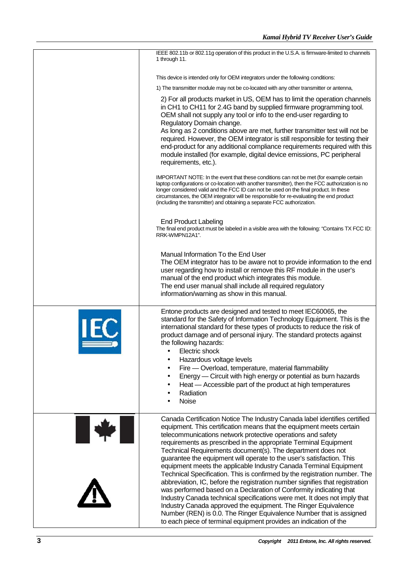|     | IEEE 802.11b or 802.11g operation of this product in the U.S.A. is firmware-limited to channels                                                                                                                                                                                                                                                                                                                                                                                                                                                                                                                                                                                                                                                                                                                                                                                                                                                                                                                                   |
|-----|-----------------------------------------------------------------------------------------------------------------------------------------------------------------------------------------------------------------------------------------------------------------------------------------------------------------------------------------------------------------------------------------------------------------------------------------------------------------------------------------------------------------------------------------------------------------------------------------------------------------------------------------------------------------------------------------------------------------------------------------------------------------------------------------------------------------------------------------------------------------------------------------------------------------------------------------------------------------------------------------------------------------------------------|
|     | 1 through 11.                                                                                                                                                                                                                                                                                                                                                                                                                                                                                                                                                                                                                                                                                                                                                                                                                                                                                                                                                                                                                     |
|     | This device is intended only for OEM integrators under the following conditions:                                                                                                                                                                                                                                                                                                                                                                                                                                                                                                                                                                                                                                                                                                                                                                                                                                                                                                                                                  |
|     | 1) The transmitter module may not be co-located with any other transmitter or antenna,                                                                                                                                                                                                                                                                                                                                                                                                                                                                                                                                                                                                                                                                                                                                                                                                                                                                                                                                            |
|     | 2) For all products market in US, OEM has to limit the operation channels<br>in CH1 to CH11 for 2.4G band by supplied firmware programming tool.<br>OEM shall not supply any tool or info to the end-user regarding to<br>Regulatory Domain change.<br>As long as 2 conditions above are met, further transmitter test will not be<br>required. However, the OEM integrator is still responsible for testing their<br>end-product for any additional compliance requirements required with this<br>module installed (for example, digital device emissions, PC peripheral<br>requirements, etc.).                                                                                                                                                                                                                                                                                                                                                                                                                                 |
|     | IMPORTANT NOTE: In the event that these conditions can not be met (for example certain<br>laptop configurations or co-location with another transmitter), then the FCC authorization is no<br>longer considered valid and the FCC ID can not be used on the final product. In these<br>circumstances, the OEM integrator will be responsible for re-evaluating the end product<br>(including the transmitter) and obtaining a separate FCC authorization.                                                                                                                                                                                                                                                                                                                                                                                                                                                                                                                                                                         |
|     | End Product Labeling<br>The final end product must be labeled in a visible area with the following: "Contains TX FCC ID:<br>RRK-WMPN12A1".                                                                                                                                                                                                                                                                                                                                                                                                                                                                                                                                                                                                                                                                                                                                                                                                                                                                                        |
|     | Manual Information To the End User<br>The OEM integrator has to be aware not to provide information to the end<br>user regarding how to install or remove this RF module in the user's<br>manual of the end product which integrates this module.<br>The end user manual shall include all required regulatory<br>information/warning as show in this manual.                                                                                                                                                                                                                                                                                                                                                                                                                                                                                                                                                                                                                                                                     |
| IEC | Entone products are designed and tested to meet IEC60065, the<br>standard for the Safety of Information Technology Equipment. This is the<br>international standard for these types of products to reduce the risk of<br>product damage and of personal injury. The standard protects against<br>the following hazards:<br>$\bullet$ Electric shock<br>Hazardous voltage levels<br>Fire — Overload, temperature, material flammability<br>٠<br>Energy — Circuit with high energy or potential as burn hazards<br>٠<br>Heat — Accessible part of the product at high temperatures<br>٠<br>Radiation<br>٠<br>Noise                                                                                                                                                                                                                                                                                                                                                                                                                  |
|     | Canada Certification Notice The Industry Canada label identifies certified<br>equipment. This certification means that the equipment meets certain<br>telecommunications network protective operations and safety<br>requirements as prescribed in the appropriate Terminal Equipment<br>Technical Requirements document(s). The department does not<br>guarantee the equipment will operate to the user's satisfaction. This<br>equipment meets the applicable Industry Canada Terminal Equipment<br>Technical Specification. This is confirmed by the registration number. The<br>abbreviation, IC, before the registration number signifies that registration<br>was performed based on a Declaration of Conformity indicating that<br>Industry Canada technical specifications were met. It does not imply that<br>Industry Canada approved the equipment. The Ringer Equivalence<br>Number (REN) is 0.0. The Ringer Equivalence Number that is assigned<br>to each piece of terminal equipment provides an indication of the |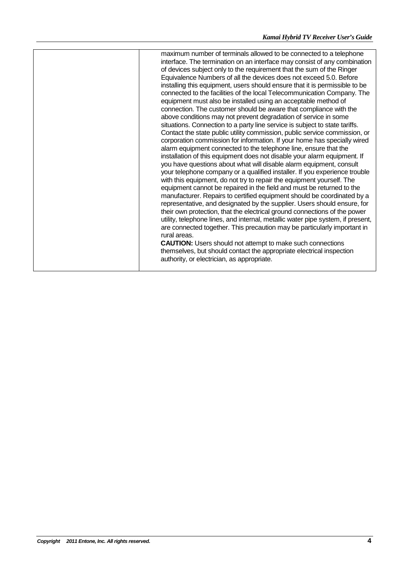maximum number of terminals allowed to be connected to a telephone interface. The termination on an interface may consist of any combination of devices subject only to the requirement that the sum of the Ringer Equivalence Numbers of all the devices does not exceed 5.0. Before installing this equipment, users should ensure that it is permissible to be connected to the facilities of the local Telecommunication Company. The equipment must also be installed using an acceptable method of connection. The customer should be aware that compliance with the above conditions may not prevent degradation of service in some situations. Connection to a party line service is subject to state tariffs. Contact the state public utility commission, public service commission, or corporation commission for information. If your home has specially wired alarm equipment connected to the telephone line, ensure that the installation of this equipment does not disable your alarm equipment. If you have questions about what will disable alarm equipment, consult your telephone company or a qualified installer. If you experience trouble with this equipment, do not try to repair the equipment yourself. The equipment cannot be repaired in the field and must be returned to the manufacturer. Repairs to certified equipment should be coordinated by a representative, and designated by the supplier. Users should ensure, for their own protection, that the electrical ground connections of the power utility, telephone lines, and internal, metallic water pipe system, if present, are connected together. This precaution may be particularly important in rural areas.

**CAUTION:** Users should not attempt to make such connections themselves, but should contact the appropriate electrical inspection authority, or electrician, as appropriate.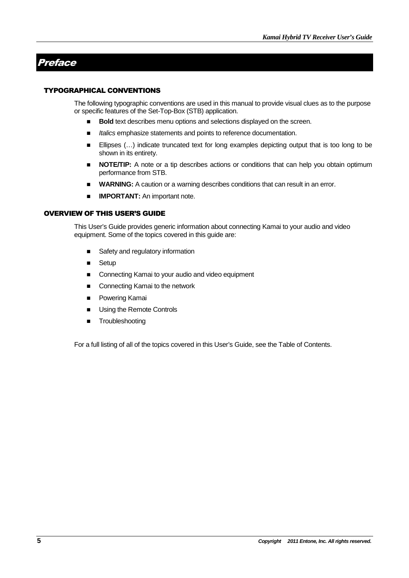## Preface

#### TYPOGRAPHICAL CONVENTIONS

The following typographic conventions are used in this manual to provide visual clues as to the purpose or specific features of the Set-Top-Box (STB) application.

- **Bold** text describes menu options and selections displayed on the screen.
- Italics emphasize statements and points to reference documentation.
- Ellipses (...) indicate truncated text for long examples depicting output that is too long to be shown in its entirety.
- **NOTE/TIP:** A note or a tip describes actions or conditions that can help you obtain optimum performance from STB.
- **WARNING:** A caution or a warning describes conditions that can result in an error.
- **IMPORTANT:** An important note.

#### OVERVIEW OF THIS USER'S GUIDE

This User's Guide provides generic information about connecting Kamai to your audio and video equipment. Some of the topics covered in this guide are:

- Safety and regulatory information
- **B** Setup
- Connecting Kamai to your audio and video equipment
- Connecting Kamai to the network
- **Powering Kamai**
- **Using the Remote Controls**
- **Troubleshooting**

For a full listing of all of the topics covered in this User's Guide, see the Table of Contents.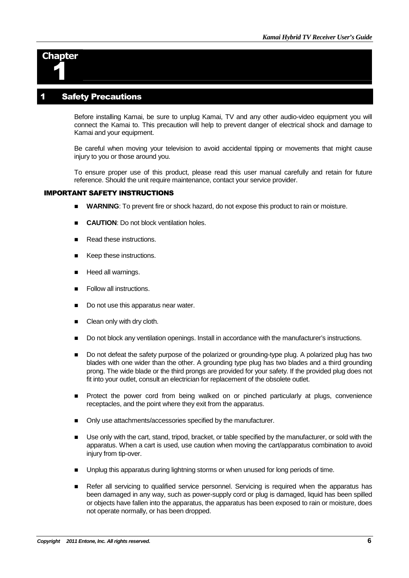

#### **Safety Precautions**

Before installing Kamai, be sure to unplug Kamai, TV and any other audio-video equipment you will connect the Kamai to. This precaution will help to prevent danger of electrical shock and damage to Kamai and your equipment.

Be careful when moving your television to avoid accidental tipping or movements that might cause injury to you or those around you.

To ensure proper use of this product, please read this user manual carefully and retain for future reference. Should the unit require maintenance, contact your service provider.

#### IMPORTANT SAFETY INSTRUCTIONS

- **WARNING**: To prevent fire or shock hazard, do not expose this product to rain or moisture.
- **CAUTION**: Do not block ventilation holes.
- Read these instructions.
- Keep these instructions.
- Heed all warnings.
- Follow all instructions.
- Do not use this apparatus near water.
- Clean only with dry cloth.
- Do not block any ventilation openings. Install in accordance with the manufacturer's instructions.
- Do not defeat the safety purpose of the polarized or grounding-type plug. A polarized plug has two blades with one wider than the other. A grounding type plug has two blades and a third grounding prong. The wide blade or the third prongs are provided for your safety. If the provided plug does not fit into your outlet, consult an electrician for replacement of the obsolete outlet.
- Protect the power cord from being walked on or pinched particularly at plugs, convenience receptacles, and the point where they exit from the apparatus.
- Only use attachments/accessories specified by the manufacturer.
- Use only with the cart, stand, tripod, bracket, or table specified by the manufacturer, or sold with the apparatus. When a cart is used, use caution when moving the cart/apparatus combination to avoid injury from tip-over.
- Unplug this apparatus during lightning storms or when unused for long periods of time.
- Refer all servicing to qualified service personnel. Servicing is required when the apparatus has been damaged in any way, such as power-supply cord or plug is damaged, liquid has been spilled or objects have fallen into the apparatus, the apparatus has been exposed to rain or moisture, does not operate normally, or has been dropped.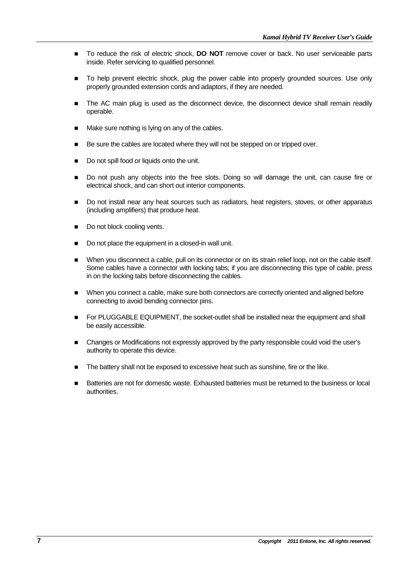- To reduce the risk of electric shock, **DO NOT** remove cover or back. No user serviceable parts inside. Refer servicing to qualified personnel.
- $\blacksquare$  To help prevent electric shock, plug the power cable into properly grounded sources. Use only properly grounded extension cords and adaptors, if they are needed.
- The AC main plug is used as the disconnect device, the disconnect device shall remain readily operable.
- Make sure nothing is lying on any of the cables.
- Be sure the cables are located where they will not be stepped on or tripped over.
- Do not spill food or liquids onto the unit.
- Do not push any objects into the free slots. Doing so will damage the unit, can cause fire or electrical shock, and can short out interior components.
- Do not install near any heat sources such as radiators, heat registers, stoves, or other apparatus (including amplifiers) that produce heat.
- Do not block cooling vents.
- Do not place the equipment in a closed-in wall unit.
- When you disconnect a cable, pull on its connector or on its strain relief loop, not on the cable itself. Some cables have a connector with locking tabs; if you are disconnecting this type of cable, press in on the locking tabs before disconnecting the cables.
- When you connect a cable, make sure both connectors are correctly oriented and aligned before connecting to avoid bending connector pins.
- For PLUGGABLE EQUIPMENT, the socket-outlet shall be installed near the equipment and shall be easily accessible.
- Changes or Modifications not expressly approved by the party responsible could void the user's authority to operate this device.
- The battery shall not be exposed to excessive heat such as sunshine, fire or the like.
- Batteries are not for domestic waste. Exhausted batteries must be returned to the business or local authorities.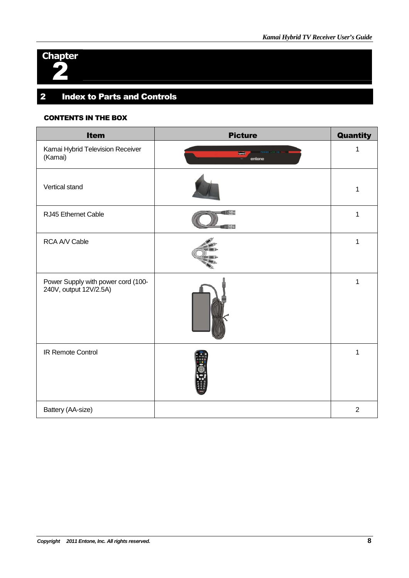

## 2 Index to Parts and Controls

#### CONTENTS IN THE BOX

| <b>Item</b>                                                  | <b>Picture</b>           | Quantity       |
|--------------------------------------------------------------|--------------------------|----------------|
| Kamai Hybrid Television Receiver<br>(Kamai)                  | $\blacksquare$<br>entone | 1              |
| Vertical stand                                               |                          | 1              |
| RJ45 Ethernet Cable                                          | a per<br>正言              | 1              |
| RCA A/V Cable                                                |                          | 1              |
| Power Supply with power cord (100-<br>240V, output 12V/2.5A) |                          | 1              |
| IR Remote Control                                            |                          | 1              |
| Battery (AA-size)                                            |                          | $\overline{2}$ |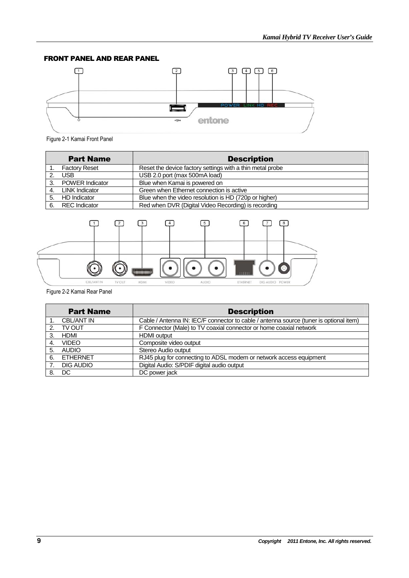#### FRONT PANEL AND REAR PANEL



Figure 2-1 Kamai Front Panel

|    | <b>Part Name</b>       | <b>Description</b>                                        |
|----|------------------------|-----------------------------------------------------------|
|    | <b>Factory Reset</b>   | Reset the device factory settings with a thin metal probe |
| 2. | USB.                   | USB 2.0 port (max 500mA load)                             |
| 3. | <b>POWER Indicator</b> | Blue when Kamai is powered on                             |
| 4. | <b>LINK Indicator</b>  | Green when Ethernet connection is active                  |
| 5. | HD Indicator           | Blue when the video resolution is HD (720p or higher)     |
| 6. | <b>REC</b> Indicator   | Red when DVR (Digital Video Recording) is recording       |



Figure 2-2 Kamai Rear Panel

| <b>Part Name</b> |                   | <b>Description</b>                                                                     |
|------------------|-------------------|----------------------------------------------------------------------------------------|
|                  | <b>CBL/ANT IN</b> | Cable / Antenna IN: IEC/F connector to cable / antenna source (tuner is optional item) |
|                  | TV OUT            | F Connector (Male) to TV coaxial connector or home coaxial network                     |
| 3.               | HDMI              | <b>HDMI</b> output                                                                     |
| 4.               | <b>VIDEO</b>      | Composite video output                                                                 |
| 5.               | AUDIO             | Stereo Audio output                                                                    |
| 6.               | ETHERNET          | RJ45 plug for connecting to ADSL modem or network access equipment                     |
|                  | DIG AUDIO         | Digital Audio: S/PDIF digital audio output                                             |
|                  | 8. DC             | DC power jack                                                                          |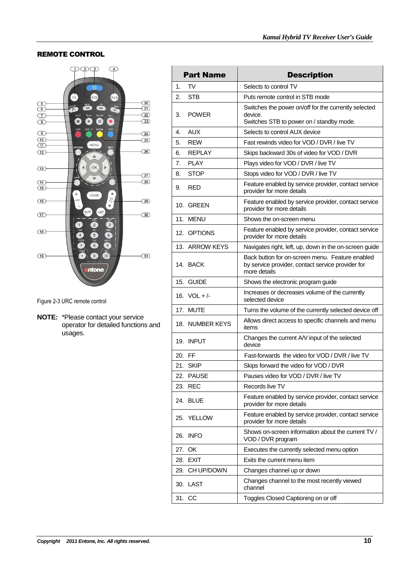#### REMOTE CONTROL



Figure 2-3 URC remote control

**NOTE:** \*Please contact your service operator for detailed functions and usages.

| <b>Part Name</b> |                 | <b>Description</b>                                                                                                   |  |  |
|------------------|-----------------|----------------------------------------------------------------------------------------------------------------------|--|--|
| 1.               | TV              | Selects to control TV                                                                                                |  |  |
| 2.               | STB             | Puts remote control in STB mode                                                                                      |  |  |
| 3.               | <b>POWER</b>    | Switches the power on/off for the currently selected<br>device.<br>Switches STB to power on / standby mode.          |  |  |
| 4.               | AUX             | Selects to control AUX device                                                                                        |  |  |
| 5.               | <b>REW</b>      | Fast rewinds video for VOD / DVR / live TV                                                                           |  |  |
| 6.               | <b>REPLAY</b>   | Skips backward 30s of video for VOD / DVR                                                                            |  |  |
| 7.               | <b>PLAY</b>     | Plays video for VOD / DVR / live TV                                                                                  |  |  |
| 8.               | <b>STOP</b>     | Stops video for VOD / DVR / live TV                                                                                  |  |  |
| 9.               | RED             | Feature enabled by service provider, contact service<br>provider for more details                                    |  |  |
|                  | 10. GREEN       | Feature enabled by service provider, contact service<br>provider for more details                                    |  |  |
|                  | 11. MENU        | Shows the on-screen menu                                                                                             |  |  |
|                  | 12. OPTIONS     | Feature enabled by service provider, contact service<br>provider for more details                                    |  |  |
|                  | 13. ARROW KEYS  | Navigates right, left, up, down in the on-screen guide                                                               |  |  |
|                  | 14. BACK        | Back button for on-screen menu. Feature enabled<br>by service provider, contact service provider for<br>more details |  |  |
| 15.              | <b>GUIDE</b>    | Shows the electronic program guide                                                                                   |  |  |
|                  | 16. VOL + $/$ - | Increases or decreases volume of the currently<br>selected device                                                    |  |  |
|                  | 17. MUTE        | Turns the volume of the currently selected device off                                                                |  |  |
|                  | 18. NUMBER KEYS | Allows direct access to specific channels and menu<br>items                                                          |  |  |
|                  | 19. INPUT       | Changes the current A/V input of the selected<br>device                                                              |  |  |
| 20. FF           |                 | Fast-forwards the video for VOD / DVR / live TV                                                                      |  |  |
|                  | 21. SKIP        | Skips forward the video for VOD / DVR                                                                                |  |  |
|                  | 22. PAUSE       | Pauses video for VOD / DVR / live TV                                                                                 |  |  |
| 23.              | <b>REC</b>      | Records live TV                                                                                                      |  |  |
|                  | 24. BLUE        | Feature enabled by service provider, contact service<br>provider for more details                                    |  |  |
|                  | 25. YELLOW      | Feature enabled by service provider, contact service<br>provider for more details                                    |  |  |
| 26.              | <b>INFO</b>     | Shows on-screen information about the current TV /<br>VOD / DVR program                                              |  |  |
|                  | 27. OK          | Executes the currently selected menu option                                                                          |  |  |
|                  | 28. EXIT        | Exits the current menu item                                                                                          |  |  |
|                  | 29. CH UP/DOWN  | Changes channel up or down                                                                                           |  |  |
|                  | 30. LAST        | Changes channel to the most recently viewed<br>channel                                                               |  |  |
|                  |                 |                                                                                                                      |  |  |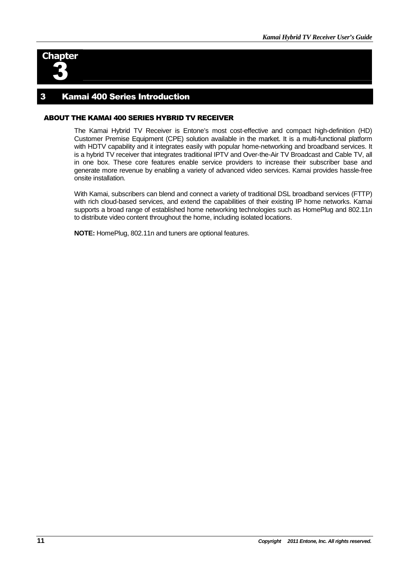

#### 3 Kamai 400 Series Introduction

#### ABOUT THE KAMAI 400 SERIES HYBRID TV RECEIVER

The Kamai Hybrid TV Receiver is Entone's most cost-effective and compact high-definition (HD) Customer Premise Equipment (CPE) solution available in the market. It is a multi-functional platform with HDTV capability and it integrates easily with popular home-networking and broadband services. It is a hybrid TV receiver that integrates traditional IPTV and Over-the-Air TV Broadcast and Cable TV, all in one box. These core features enable service providers to increase their subscriber base and generate more revenue by enabling a variety of advanced video services. Kamai provides hassle-free onsite installation.

With Kamai, subscribers can blend and connect a variety of traditional DSL broadband services (FTTP) with rich cloud-based services, and extend the capabilities of their existing IP home networks. Kamai supports a broad range of established home networking technologies such as HomePlug and 802.11n to distribute video content throughout the home, including isolated locations.

**NOTE:** HomePlug, 802.11n and tuners are optional features.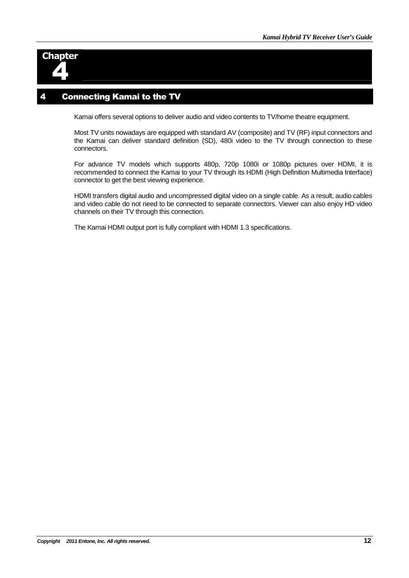

#### **Connecting Kamai to the TV**

Kamai offers several options to deliver audio and video contents to TV/home theatre equipment.

Most TV units nowadays are equipped with standard AV (composite) and TV (RF) input connectors and the Kamai can deliver standard definition (SD), 480i video to the TV through connection to these connectors.

For advance TV models which supports 480p, 720p 1080i or 1080p pictures over HDMI, it is recommended to connect the Kamai to your TV through its HDMI (High Definition Multimedia Interface) connector to get the best viewing experience.

HDMI transfers digital audio and uncompressed digital video on a single cable. As a result, audio cables and video cable do not need to be connected to separate connectors. Viewer can also enjoy HD video channels on their TV through this connection.

The Kamai HDMI output port is fully compliant with HDMI 1.3 specifications.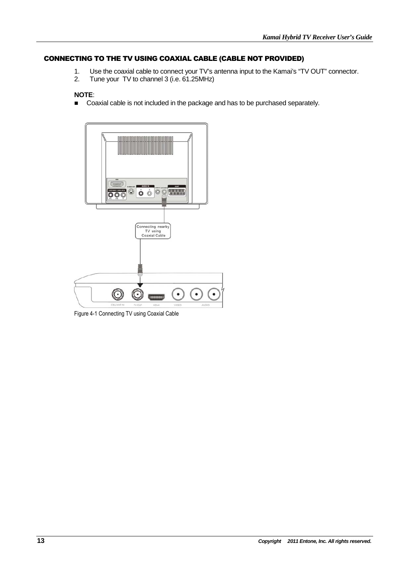#### CONNECTING TO THE TV USING COAXIAL CABLE (CABLE NOT PROVIDED)

- 1. Use the coaxial cable to connect your TV's antenna input to the Kamai's "TV OUT" connector.<br>2. Tune vour TV to channel 3 (i.e. 61.25MHz)
- Tune your TV to channel 3 (i.e. 61.25MHz)

#### **NOTE**:

■ Coaxial cable is not included in the package and has to be purchased separately.



Figure 4-1 Connecting TV using Coaxial Cable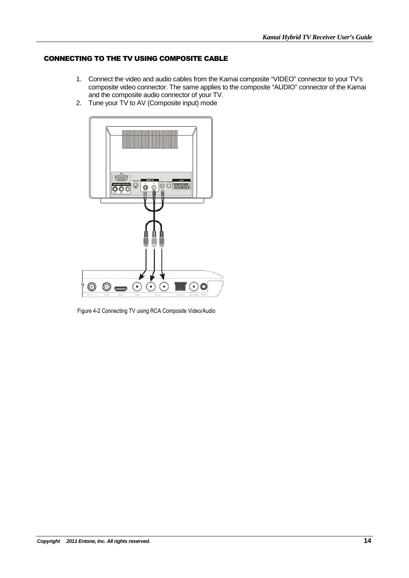#### CONNECTING TO THE TV USING COMPOSITE CABLE

- 1. Connect the video and audio cables from the Kamai composite "VIDEO" connector to your TV's composite video connector. The same applies to the composite "AUDIO" connector of the Kamai and the composite audio connector of your TV.
- 2. Tune your TV to AV (Composite input) mode



Figure 4-2 Connecting TV using RCA Composite Video/Audio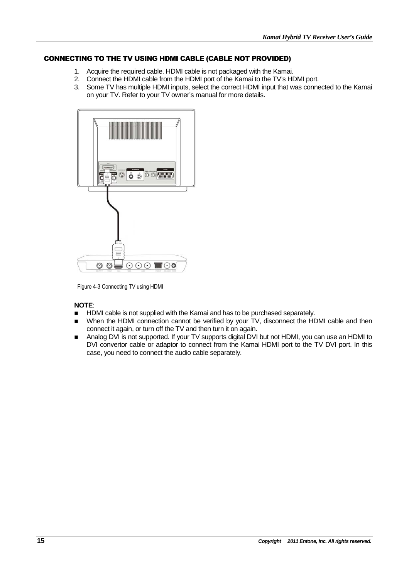#### CONNECTING TO THE TV USING HDMI CABLE (CABLE NOT PROVIDED)

- 1. Acquire the required cable. HDMI cable is not packaged with the Kamai.
- 2. Connect the HDMI cable from the HDMI port of the Kamai to the TV's HDMI port.
- 3. Some TV has multiple HDMI inputs, select the correct HDMI input that was connected to the Kamai on your TV. Refer to your TV owner's manual for more details.



Figure 4-3 Connecting TV using HDMI

#### **NOTE**:

- **HDMI** cable is not supplied with the Kamai and has to be purchased separately.
- When the HDMI connection cannot be verified by your TV, disconnect the HDMI cable and then connect it again, or turn off the TV and then turn it on again.
- Analog DVI is not supported. If your TV supports digital DVI but not HDMI, you can use an HDMI to DVI convertor cable or adaptor to connect from the Kamai HDMI port to the TV DVI port. In this case, you need to connect the audio cable separately.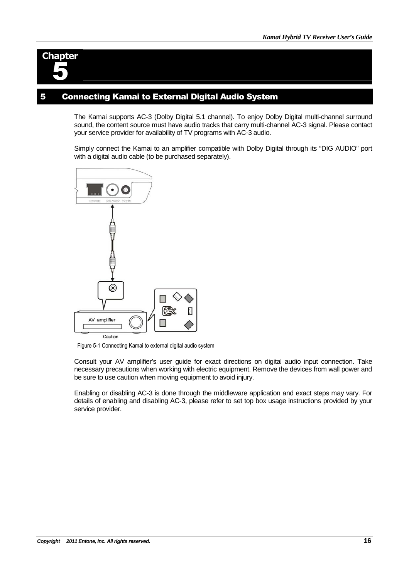

#### 5 Connecting Kamai to External Digital Audio System

The Kamai supports AC-3 (Dolby Digital 5.1 channel). To enjoy Dolby Digital multi-channel surround sound, the content source must have audio tracks that carry multi-channel AC-3 signal. Please contact your service provider for availability of TV programs with AC-3 audio.

Simply connect the Kamai to an amplifier compatible with Dolby Digital through its "DIG AUDIO" port with a digital audio cable (to be purchased separately).



Figure 5-1 Connecting Kamai to external digital audio system

Consult your AV amplifier's user guide for exact directions on digital audio input connection. Take necessary precautions when working with electric equipment. Remove the devices from wall power and be sure to use caution when moving equipment to avoid injury.

Enabling or disabling AC-3 is done through the middleware application and exact steps may vary. For details of enabling and disabling AC-3, please refer to set top box usage instructions provided by your service provider.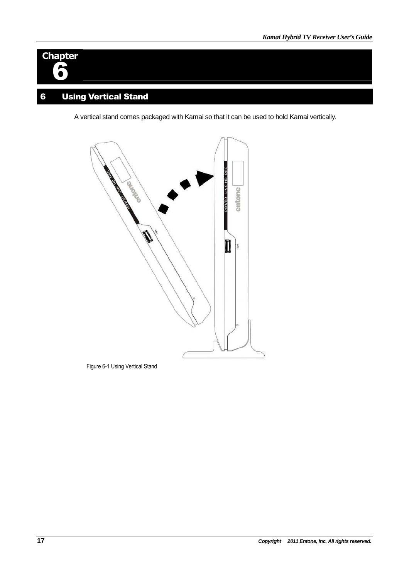## **Chapter** 6

## 6 Using Vertical Stand

A vertical stand comes packaged with Kamai so that it can be used to hold Kamai vertically.



Figure 6-1 Using Vertical Stand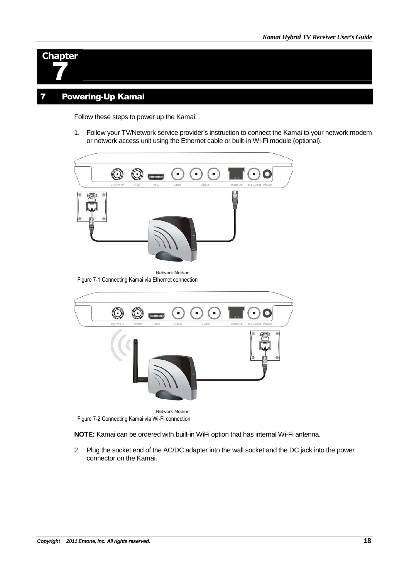

### 7 Powering-Up Kamai

Follow these steps to power up the Kamai:

1. Follow your TV/Network service provider's instruction to connect the Kamai to your network modem or network access unit using the Ethernet cable or built-in Wi-Fi module (optional).



Figure 7-1 Connecting Kamai via Ethernet connection



**NOTE:** Kamai can be ordered with built-in WiFi option that has internal Wi-Fi antenna.

2. Plug the socket end of the AC/DC adapter into the wall socket and the DC jack into the power connector on the Kamai.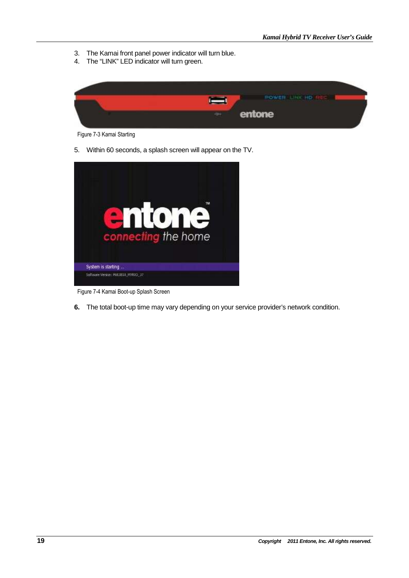- 3. The Kamai front panel power indicator will turn blue.
- 4. The "LINK" LED indicator will turn green.



Figure 7-3 Kamai Starting

5. Within 60 seconds, a splash screen will appear on the TV.



Figure 7-4 Kamai Boot-up Splash Screen

**6.** The total boot-up time may vary depending on your service provider's network condition.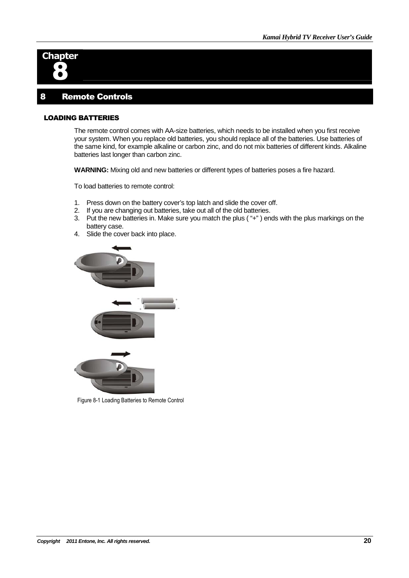

#### 8 Remote Controls

#### LOADING BATTERIES

The remote control comes with AA-size batteries, which needs to be installed when you first receive your system. When you replace old batteries, you should replace all of the batteries. Use batteries of the same kind, for example alkaline or carbon zinc, and do not mix batteries of different kinds. Alkaline batteries last longer than carbon zinc.

**WARNING:** Mixing old and new batteries or different types of batteries poses a fire hazard.

To load batteries to remote control:

- 1. Press down on the battery cover's top latch and slide the cover off.
- 2. If you are changing out batteries, take out all of the old batteries.
- 3. Put the new batteries in. Make sure you match the plus ( "+" ) ends with the plus markings on the battery case.
- 4. Slide the cover back into place.



Figure 8-1 Loading Batteries to Remote Control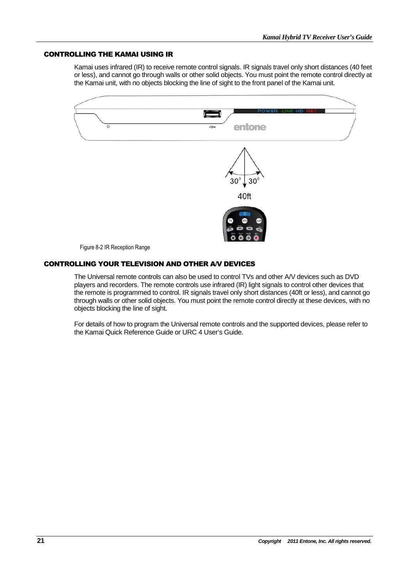#### CONTROLLING THE KAMAI USING IR

Kamai uses infrared (IR) to receive remote control signals. IR signals travel only short distances (40 feet or less), and cannot go through walls or other solid objects. You must point the remote control directly at the Kamai unit, with no objects blocking the line of sight to the front panel of the Kamai unit.



#### CONTROLLING YOUR TELEVISION AND OTHER A/V DEVICES

The Universal remote controls can also be used to control TVs and other A/V devices such as DVD players and recorders. The remote controls use infrared (IR) light signals to control other devices that the remote is programmed to control. IR signals travel only short distances (40ft or less), and cannot go through walls or other solid objects. You must point the remote control directly at these devices, with no objects blocking the line of sight.

For details of how to program the Universal remote controls and the supported devices, please refer to the Kamai Quick Reference Guide or URC 4 User's Guide.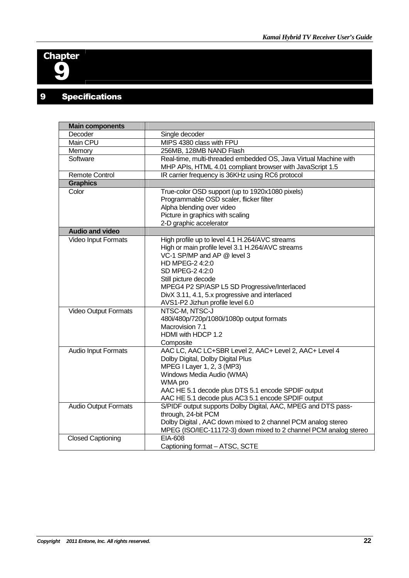

## 9 Specifications

| <b>Main components</b>      |                                                                  |  |
|-----------------------------|------------------------------------------------------------------|--|
| Decoder                     | Single decoder                                                   |  |
| Main CPU                    | MIPS 4380 class with FPU                                         |  |
| Memory                      | 256MB, 128MB NAND Flash                                          |  |
| Software                    | Real-time, multi-threaded embedded OS, Java Virtual Machine with |  |
|                             | MHP APIs, HTML 4.01 compliant browser with JavaScript 1.5        |  |
| <b>Remote Control</b>       | IR carrier frequency is 36KHz using RC6 protocol                 |  |
| <b>Graphics</b>             |                                                                  |  |
| Color                       | True-color OSD support (up to 1920x1080 pixels)                  |  |
|                             | Programmable OSD scaler, flicker filter                          |  |
|                             | Alpha blending over video                                        |  |
|                             | Picture in graphics with scaling                                 |  |
|                             | 2-D graphic accelerator                                          |  |
| <b>Audio and video</b>      |                                                                  |  |
| Video Input Formats         | High profile up to level 4.1 H.264/AVC streams                   |  |
|                             | High or main profile level 3.1 H.264/AVC streams                 |  |
|                             | VC-1 SP/MP and AP @ level 3                                      |  |
|                             | HD MPEG-2 4:2:0                                                  |  |
|                             | SD MPEG-2 4:2:0                                                  |  |
|                             | Still picture decode                                             |  |
|                             | MPEG4 P2 SP/ASP L5 SD Progressive/Interlaced                     |  |
|                             | DivX 3.11, 4.1, 5.x progressive and interlaced                   |  |
|                             | AVS1-P2 Jizhun profile level 6.0                                 |  |
| Video Output Formats        | NTSC-M, NTSC-J                                                   |  |
|                             | 480i/480p/720p/1080i/1080p output formats                        |  |
|                             | Macrovision 7.1                                                  |  |
|                             | HDMI with HDCP 1.2                                               |  |
|                             | Composite                                                        |  |
| <b>Audio Input Formats</b>  | AAC LC, AAC LC+SBR Level 2, AAC+ Level 2, AAC+ Level 4           |  |
|                             | Dolby Digital, Dolby Digital Plus                                |  |
|                             | MPEG I Layer 1, 2, 3 (MP3)                                       |  |
|                             | Windows Media Audio (WMA)                                        |  |
|                             | WMA pro                                                          |  |
|                             | AAC HE 5.1 decode plus DTS 5.1 encode SPDIF output               |  |
|                             | AAC HE 5.1 decode plus AC3 5.1 encode SPDIF output               |  |
| <b>Audio Output Formats</b> | S/PIDF output supports Dolby Digital, AAC, MPEG and DTS pass-    |  |
|                             | through, 24-bit PCM                                              |  |
|                             | Dolby Digital, AAC down mixed to 2 channel PCM analog stereo     |  |
|                             | MPEG (ISO/IEC-11172-3) down mixed to 2 channel PCM analog stereo |  |
| <b>Closed Captioning</b>    | EIA-608                                                          |  |
|                             | Captioning format - ATSC, SCTE                                   |  |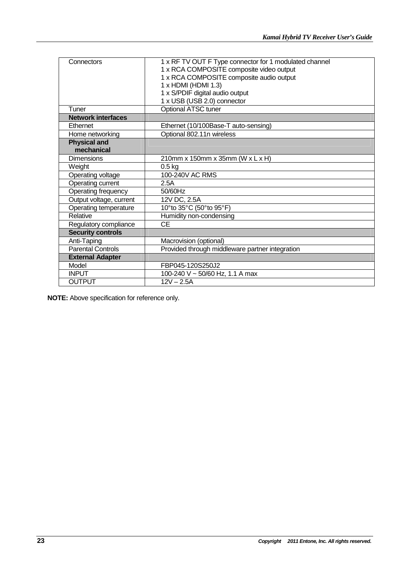| Connectors                | 1 x RF TV OUT F Type connector for 1 modulated channel |
|---------------------------|--------------------------------------------------------|
|                           | 1 x RCA COMPOSITE composite video output               |
|                           | 1 x RCA COMPOSITE composite audio output               |
|                           | $1 \times$ HDMI (HDMI 1.3)                             |
|                           | 1 x S/PDIF digital audio output                        |
|                           | 1 x USB (USB 2.0) connector                            |
| Tuner                     | Optional ATSC tuner                                    |
| <b>Network interfaces</b> |                                                        |
| Ethernet                  | Ethernet (10/100Base-T auto-sensing)                   |
| Home networking           | Optional 802.11n wireless                              |
| <b>Physical and</b>       |                                                        |
| mechanical                |                                                        |
| <b>Dimensions</b>         | 210mm x 150mm x 35mm (W x L x H)                       |
| Weight                    | $0.5$ kg                                               |
| Operating voltage         | 100-240V AC RMS                                        |
| Operating current         | 2.5A                                                   |
| Operating frequency       | 50/60Hz                                                |
| Output voltage, current   | 12V DC, 2.5A                                           |
| Operating temperature     | 10°to 35°C (50°to 95°F)                                |
| Relative                  | Humidity non-condensing                                |
| Regulatory compliance     | <b>CE</b>                                              |
| <b>Security controls</b>  |                                                        |
| Anti-Taping               | Macrovision (optional)                                 |
| <b>Parental Controls</b>  | Provided through middleware partner integration        |
| <b>External Adapter</b>   |                                                        |
| Model                     | FBP045-120S250J2                                       |
| <b>INPUT</b>              | 100-240 V ~ 50/60 Hz, 1.1 A max                        |
| <b>OUTPUT</b>             | $12V - 2.5A$                                           |

**NOTE:** Above specification for reference only.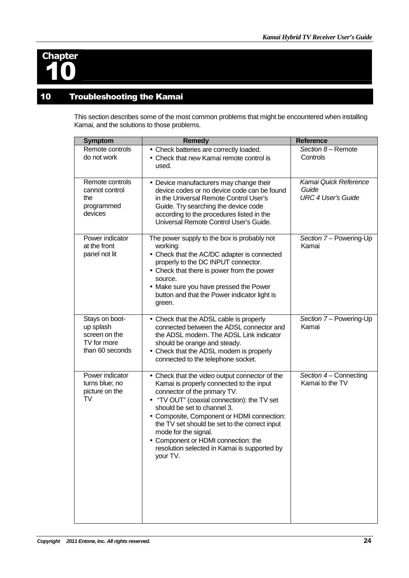

## 10 Troubleshooting the Kamai

This section describes some of the most common problems that might be encountered when installing Kamai, and the solutions to those problems.

| <b>Symptom</b>                                                                 | <b>Remedy</b>                                                                                                                                                                                                                                                                                                                                                                                                                      | Reference                                                   |
|--------------------------------------------------------------------------------|------------------------------------------------------------------------------------------------------------------------------------------------------------------------------------------------------------------------------------------------------------------------------------------------------------------------------------------------------------------------------------------------------------------------------------|-------------------------------------------------------------|
| Remote controls<br>do not work                                                 | • Check batteries are correctly loaded.<br>• Check that new Kamai remote control is<br>used.                                                                                                                                                                                                                                                                                                                                       | Section 8 - Remote<br>Controls                              |
| Remote controls<br>cannot control<br>the<br>programmed<br>devices              | • Device manufacturers may change their<br>device codes or no device code can be found<br>in the Universal Remote Control User's<br>Guide. Try searching the device code<br>according to the procedures listed in the<br>Universal Remote Control User's Guide.                                                                                                                                                                    | Kamai Quick Reference<br>Guide<br><b>URC 4 User's Guide</b> |
| Power indicator<br>at the front<br>panel not lit                               | The power supply to the box is probably not<br>working:<br>• Check that the AC/DC adapter is connected<br>properly to the DC INPUT connector.<br>• Check that there is power from the power<br>source.<br>• Make sure you have pressed the Power<br>button and that the Power indicator light is<br>green.                                                                                                                         | Section 7 - Powering-Up<br>Kamai                            |
| Stays on boot-<br>up splash<br>screen on the<br>TV for more<br>than 60 seconds | • Check that the ADSL cable is properly<br>connected between the ADSL connector and<br>the ADSL modem. The ADSL Link indicator<br>should be orange and steady.<br>• Check that the ADSL modem is properly<br>connected to the telephone socket.                                                                                                                                                                                    | Section 7 - Powering-Up<br>Kamai                            |
| Power indicator<br>turns blue; no<br>picture on the<br>TV                      | • Check that the video output connector of the<br>Kamai is properly connected to the input<br>connector of the primary TV.<br>• "TV OUT" (coaxial connection): the TV set<br>should be set to channel 3.<br>• Composite, Component or HDMI connection:<br>the TV set should be set to the correct input<br>mode for the signal.<br>• Component or HDMI connection: the<br>resolution selected in Kamai is supported by<br>your TV. | Section 4 – Connecting<br>Kamai to the TV                   |